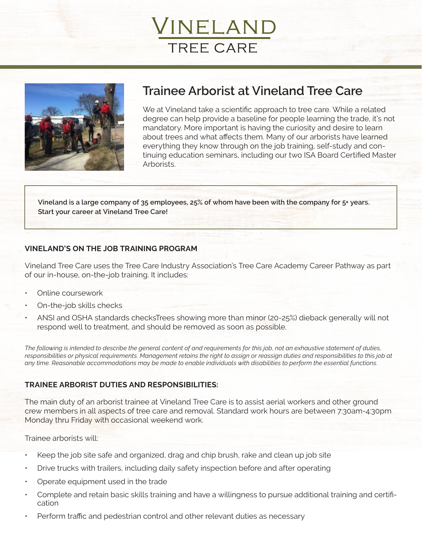



# **Trainee Arborist at Vineland Tree Care**

We at Vineland take a scientific approach to tree care. While a related degree can help provide a baseline for people learning the trade, it's not mandatory. More important is having the curiosity and desire to learn about trees and what affects them. Many of our arborists have learned everything they know through on the job training, self-study and continuing education seminars, including our two ISA Board Certified Master Arborists.

**Vineland is a large company of 35 employees, 25% of whom have been with the company for 5+ years. Start your career at Vineland Tree Care!**

#### **VINELAND'S ON THE JOB TRAINING PROGRAM**

Vineland Tree Care uses the Tree Care Industry Association's Tree Care Academy Career Pathway as part of our in-house, on-the-job training. It includes:

- Online coursework
- On-the-job skills checks
- ANSI and OSHA standards checksTrees showing more than minor (20-25%) dieback generally will not respond well to treatment, and should be removed as soon as possible.

*The following is intended to describe the general content of and requirements for this job, not an exhaustive statement of duties, responsibilities or physical requirements. Management retains the right to assign or reassign duties and responsibilities to this job at any time. Reasonable accommodations may be made to enable individuals with disabilities to perform the essential functions.*

#### **TRAINEE ARBORIST DUTIES AND RESPONSIBILITIES:**

The main duty of an arborist trainee at Vineland Tree Care is to assist aerial workers and other ground crew members in all aspects of tree care and removal. Standard work hours are between 7:30am-4:30pm Monday thru Friday with occasional weekend work.

Trainee arborists will:

- Keep the job site safe and organized, drag and chip brush, rake and clean up job site
- Drive trucks with trailers, including daily safety inspection before and after operating
- Operate equipment used in the trade
- Complete and retain basic skills training and have a willingness to pursue additional training and certification
- Perform traffic and pedestrian control and other relevant duties as necessary